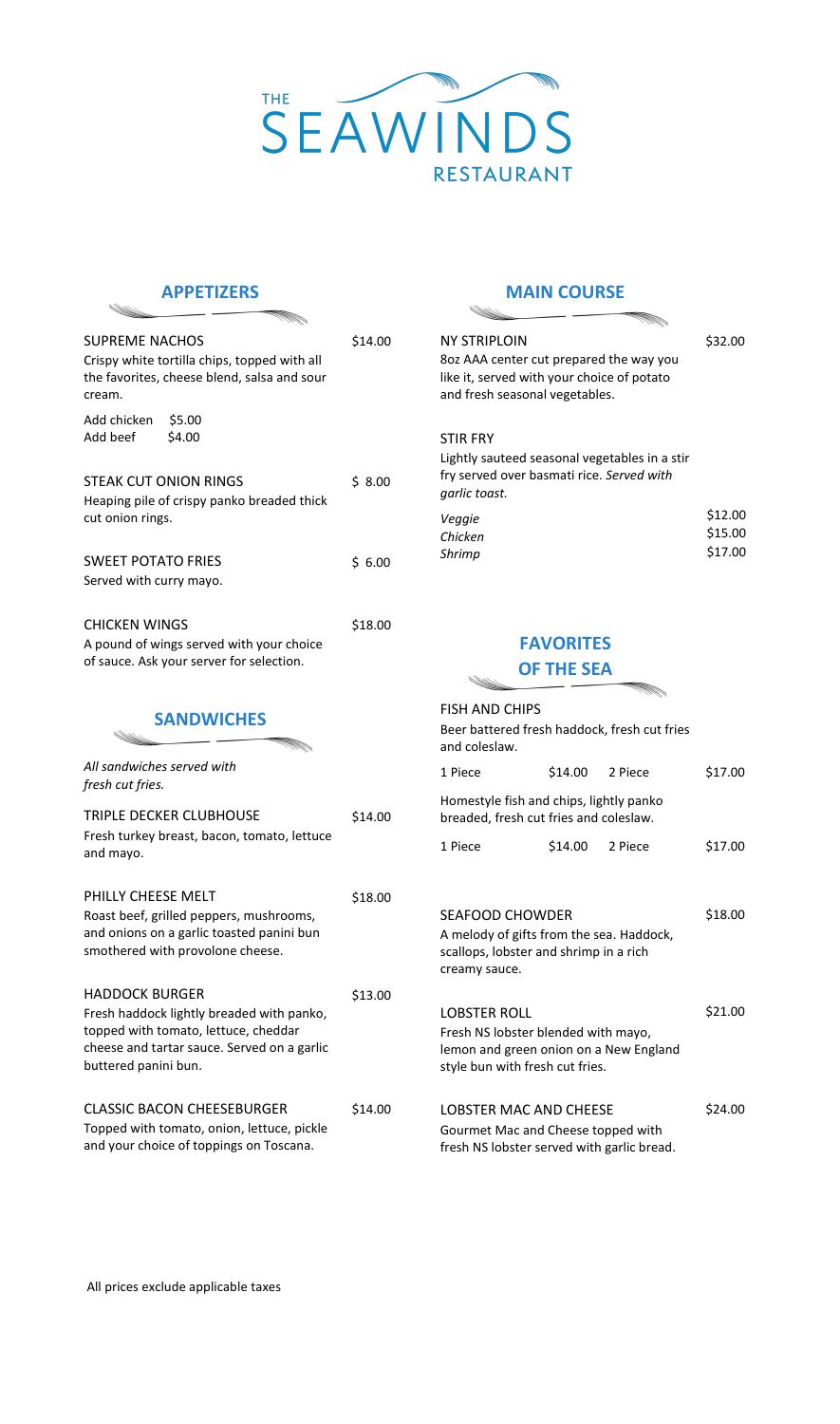

### **APPETIZERS**

| <b>SUPREME NACHOS</b><br>Crispy white tortilla chips, topped with all<br>the favorites, cheese blend, salsa and sour<br>cream.                                                    | \$14.00 |
|-----------------------------------------------------------------------------------------------------------------------------------------------------------------------------------|---------|
| Add chicken<br>\$5.00<br>\$4.00<br>Add beef                                                                                                                                       |         |
| <b>STEAK CUT ONION RINGS</b><br>Heaping pile of crispy panko breaded thick<br>cut onion rings.                                                                                    | \$8.00  |
| <b>SWEET POTATO FRIES</b><br>Served with curry mayo.                                                                                                                              | \$6.00  |
| <b>CHICKEN WINGS</b><br>A pound of wings served with your choice<br>of sauce. Ask your server for selection.                                                                      | \$18.00 |
| <b>SANDWICHES</b>                                                                                                                                                                 |         |
| All sandwiches served with<br>fresh cut fries.                                                                                                                                    |         |
| TRIPLE DECKER CLUBHOUSE<br>Fresh turkey breast, bacon, tomato, lettuce<br>and mayo.                                                                                               | \$14.00 |
| PHILLY CHEESE MELT<br>Roast beef, grilled peppers, mushrooms,<br>and onions on a garlic toasted panini bun<br>smothered with provolone cheese.                                    | \$18.00 |
| <b>HADDOCK BURGER</b><br>Fresh haddock lightly breaded with panko,<br>topped with tomato, lettuce, cheddar<br>cheese and tartar sauce. Served on a garlic<br>buttered panini bun. | \$13.00 |
| <b>CLASSIC BACON CHEESEBURGER</b><br>Topped with tomato, onion, lettuce, pickle                                                                                                   | \$14.00 |

#### **MAIN COURSE**

44

<u>Calling Contract of the Contract of the Contract of the Contract of The Contract of The Contract of The Contract of The Contract of The Contract of The Contract of The Contract of The Con</u> NY STRIPLOIN \$32.00 8oz AAA center cut prepared the way you like it, served with your choice of potato and fresh seasonal vegetables. STIR FRY Lightly sauteed seasonal vegetables in a stir fry served over basmati rice. *Served with garlic toast.* \$12.00 *Veggie*  \$15.00 *Chicken*  \$17.00 *Shrimp* 

# **FAVORITES**

<u>Carl Colomb</u>

### **OF THE SEA**

| <b>FISH AND CHIPS</b><br>Beer battered fresh haddock, fresh cut fries<br>and coleslaw. |                                                                                                                               |                 |  |         |
|----------------------------------------------------------------------------------------|-------------------------------------------------------------------------------------------------------------------------------|-----------------|--|---------|
|                                                                                        | 1 Piece                                                                                                                       | \$14.00 2 Piece |  | \$17.00 |
| Homestyle fish and chips, lightly panko<br>breaded, fresh cut fries and coleslaw.      |                                                                                                                               |                 |  |         |
|                                                                                        | 1 Piece                                                                                                                       | \$14.00 2 Piece |  | \$17.00 |
|                                                                                        | <b>SEAFOOD CHOWDER</b><br>A melody of gifts from the sea. Haddock,<br>scallops, lobster and shrimp in a rich<br>creamy sauce. |                 |  | \$18.00 |
|                                                                                        | LOBSTER ROLL                                                                                                                  |                 |  | \$21.00 |
|                                                                                        | Fresh NS lobster blended with mayo,<br>lemon and green onion on a New England<br>style bun with fresh cut fries.              |                 |  |         |
|                                                                                        | LOBSTER MAC AND CHEESE                                                                                                        |                 |  | \$24.00 |
|                                                                                        | Gourmet Mac and Cheese topped with<br>fresh NS lobster served with garlic bread.                                              |                 |  |         |